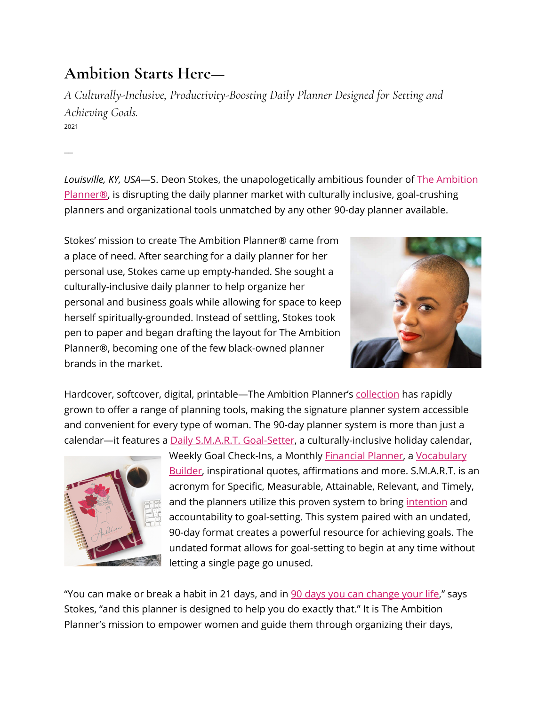## **Ambition Starts Here—**

*A Culturally-Inclusive, Productivity-Boosting Daily Planner Designed for Setting and Achieving Goals.* 2021

 $\overline{\phantom{a}}$ 

*Louisville, KY, USA*—S. Deon Stokes, the unapologetically ambitious founder of The [Ambition](https://www.theambitionplanner.com/) [Planner®,](https://www.theambitionplanner.com/) is disrupting the daily planner market with culturally inclusive, goal-crushing planners and organizational tools unmatched by any other 90-day planner available.

Stokes' mission to create The Ambition Planner® came from a place of need. After searching for a daily planner for her personal use, Stokes came up empty-handed. She sought a culturally-inclusive daily planner to help organize her personal and business goals while allowing for space to keep herself spiritually-grounded. Instead of settling, Stokes took pen to paper and began drafting the layout for The Ambition Planner®, becoming one of the few black-owned planner brands in the market.



Hardcover, softcover, digital, printable—The Ambition Planner's [collection](https://www.theambitionplanner.com/shop) has rapidly grown to offer a range of planning tools, making the signature planner system accessible and convenient for every type of woman. The 90-day planner system is more than just a calendar—it features a **Daily S.M.A.R.T. [Goal-Setter](https://www.theambitionplanner.com/post/how-to-change-your-life-in-90-days)**, a culturally-inclusive holiday calendar,



Weekly Goal Check-Ins, a Monthly [Financial](https://www.theambitionplanner.com/post/5-tips-to-own-your-money-mindset) Planner, a [Vocabulary](https://www.theambitionplanner.com/post/design-a-stunning-blog) [Builder](https://www.theambitionplanner.com/post/design-a-stunning-blog), inspirational quotes, affirmations and more. S.M.A.R.T. is an acronym for Specific, Measurable, Attainable, Relevant, and Timely, and the planners utilize this proven system to bring [intention](https://www.theambitionplanner.com/post/our-ambitious-guide-to-intentional-living) and accountability to goal-setting. This system paired with an undated, 90-day format creates a powerful resource for achieving goals. The undated format allows for goal-setting to begin at any time without letting a single page go unused.

"You can make or break a habit in 21 days, and in 90 days you can [change](https://www.theambitionplanner.com/post/how-to-change-your-life-in-90-days) your life," says Stokes, "and this planner is designed to help you do exactly that." It is The Ambition Planner's mission to empower women and guide them through organizing their days,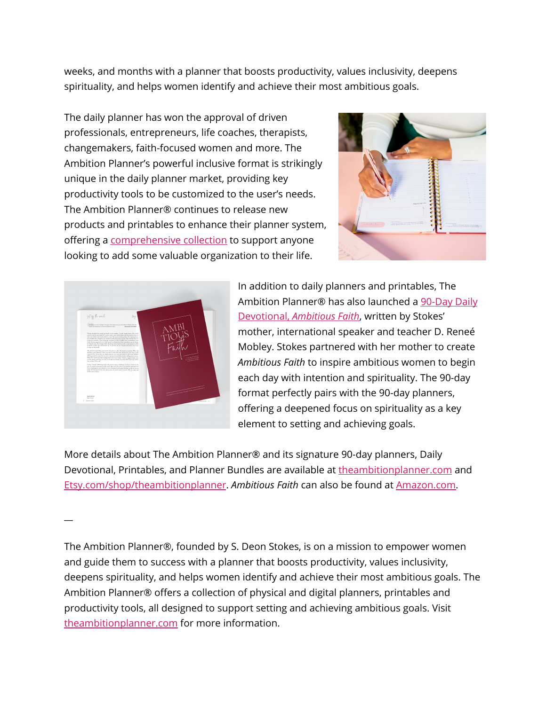weeks, and months with a planner that boosts productivity, values inclusivity, deepens spirituality, and helps women identify and achieve their most ambitious goals.

The daily planner has won the approval of driven professionals, entrepreneurs, life coaches, therapists, changemakers, faith-focused women and more. The Ambition Planner's powerful inclusive format is strikingly unique in the daily planner market, providing key productivity tools to be customized to the user's needs. The Ambition Planner® continues to release new products and printables to enhance their planner system, offering a [comprehensive](https://www.theambitionplanner.com/shop) collection to support anyone looking to add some valuable organization to their life.





In addition to daily planners and printables, The Ambition Planner® has also launched a [90-Day](https://www.theambitionplanner.com/product-page/ambitious-faith-90-day-devotional) Daily [Devotional,](https://www.theambitionplanner.com/product-page/ambitious-faith-90-day-devotional) *[Ambitious](https://www.theambitionplanner.com/product-page/ambitious-faith-90-day-devotional) Faith*, written by Stokes' mother, international speaker and teacher D. Reneé Mobley. Stokes partnered with her mother to create *Ambitious Faith* to inspire ambitious women to begin each day with intention and spirituality. The 90-day format perfectly pairs with the 90-day planners, offering a deepened focus on spirituality as a key element to setting and achieving goals.

More details about The Ambition Planner® and its signature 90-day planners, Daily Devotional, Printables, and Planner Bundles are available at [theambitionplanner.com](https://www.theambitionplanner.com/) and [Etsy.com/shop/theambitionplanner.](https://www.etsy.com/shop/TheAmbitionPlanner) *Ambitious Faith* can also be found at [Amazon.com.](https://www.amazon.com/dp/B08RH7J8R9)

 $\overline{\phantom{a}}$ 

The Ambition Planner®, founded by S. Deon Stokes, is on a mission to empower women and guide them to success with a planner that boosts productivity, values inclusivity, deepens spirituality, and helps women identify and achieve their most ambitious goals. The Ambition Planner® offers a collection of physical and digital planners, printables and productivity tools, all designed to support setting and achieving ambitious goals. Visit [theambitionplanner.com](https://www.theambitionplanner.com/) for more information.